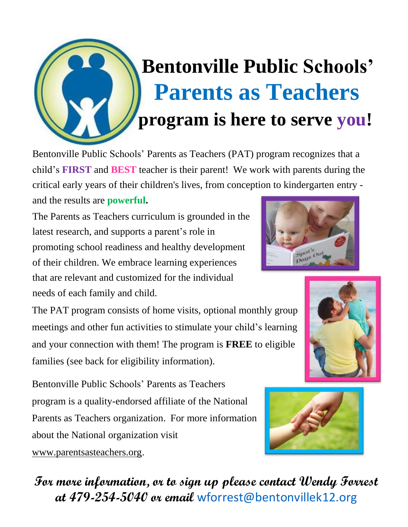

Bentonville Public Schools' Parents as Teachers (PAT) program recognizes that a child's **FIRST** and **BEST** teacher is their parent! We work with parents during the critical early years of their children's lives, from conc[eption](http://www.google.com/url?sa=i&rct=j&q=&esrc=s&source=images&cd=&cad=rja&uact=8&ved=0CAcQjRxqFQoTCN-q5_aZmsgCFRIOkgodFl0CfA&url=http://blogs.rch.org.au/ccch/2011/08/19/parents-and-children-can-bond-over-a-book/&psig=AFQjCNGcpzM4m83hZNSFRPrsr3GboQirbg&ust=1443545765310450) [to](http://www.google.com/url?sa=i&rct=j&q=&esrc=s&source=images&cd=&cad=rja&uact=8&ved=0CAcQjRxqFQoTCN-q5_aZmsgCFRIOkgodFl0CfA&url=http://blogs.rch.org.au/ccch/2011/08/19/parents-and-children-can-bond-over-a-book/&psig=AFQjCNGcpzM4m83hZNSFRPrsr3GboQirbg&ust=1443545765310450) [kindergarten](http://www.google.com/url?sa=i&rct=j&q=&esrc=s&source=images&cd=&cad=rja&uact=8&ved=0CAcQjRxqFQoTCN-q5_aZmsgCFRIOkgodFl0CfA&url=http://blogs.rch.org.au/ccch/2011/08/19/parents-and-children-can-bond-over-a-book/&psig=AFQjCNGcpzM4m83hZNSFRPrsr3GboQirbg&ust=1443545765310450) [entry](http://www.google.com/url?sa=i&rct=j&q=&esrc=s&source=images&cd=&cad=rja&uact=8&ved=0CAcQjRxqFQoTCN-q5_aZmsgCFRIOkgodFl0CfA&url=http://blogs.rch.org.au/ccch/2011/08/19/parents-and-children-can-bond-over-a-book/&psig=AFQjCNGcpzM4m83hZNSFRPrsr3GboQirbg&ust=1443545765310450)  and the results are **powerful.**

**For more information, or to s[ign](mailto:nnichols@bentonvillek12.org) [up](mailto:nnichols@bentonvillek12.org) [please](mailto:nnichols@bentonvillek12.org) [contact](mailto:nnichols@bentonvillek12.org) Wendy Forrest** 

**at 479-254-5040 or email** wforrest@bentonvillek12.org

The Parents as Teachers curriculum is grounded in the latest research, and supports a parent's role in promoting school readiness and healthy development of their children. We embrace learning experiences that are relevant and customized for the individual needs of each family and child.

The PAT program consists of home visits, optional monthly group meetings and other fun activities to stimulate your child's learning and your connection with them! The program is **FREE** to eligible families (see back for eligibility information).

Bentonville Public Schools' Parents as Teachers program is a quality-endorsed affiliate of the National Parents as Teachers organization. For more information [about](http://www.parentsasteachers.org/) [the](http://www.parentsasteachers.org/) [National](http://www.parentsasteachers.org/) [organizati](http://www.parentsasteachers.org/)on visit

www.parentsasteachers.or[g.](http://www.parentsasteachers.org/)